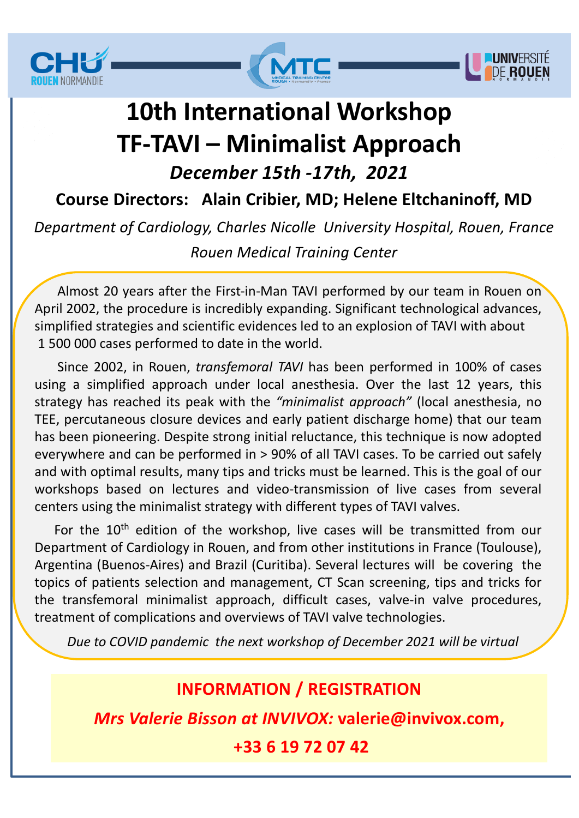





# **10th International Workshop TF-TAVI – Minimalist Approach** *December 15th -17th, 2021*

**Course Directors: Alain Cribier, MD; Helene Eltchaninoff, MD**

*Department of Cardiology, Charles Nicolle University Hospital, Rouen, France Rouen Medical Training Center*

Almost 20 years after the First-in-Man TAVI performed by our team in Rouen on April 2002, the procedure is incredibly expanding. Significant technological advances, simplified strategies and scientific evidences led to an explosion of TAVI with about 1 500 000 cases performed to date in the world.

Since 2002, in Rouen, *transfemoral TAVI* has been performed in 100% of cases using a simplified approach under local anesthesia. Over the last 12 years, this strategy has reached its peak with the *"minimalist approach"* (local anesthesia, no TEE, percutaneous closure devices and early patient discharge home) that our team has been pioneering. Despite strong initial reluctance, this technique is now adopted everywhere and can be performed in > 90% of all TAVI cases. To be carried out safely and with optimal results, many tips and tricks must be learned. This is the goal of our workshops based on lectures and video-transmission of live cases from several centers using the minimalist strategy with different types of TAVI valves.

For the 10<sup>th</sup> edition of the workshop, live cases will be transmitted from our Department of Cardiology in Rouen, and from other institutions in France (Toulouse), Argentina (Buenos-Aires) and Brazil (Curitiba). Several lectures will be covering the topics of patients selection and management, CT Scan screening, tips and tricks for the transfemoral minimalist approach, difficult cases, valve-in valve procedures, treatment of complications and overviews of TAVI valve technologies.

*Due to COVID pandemic the next workshop of December 2021 will be virtual*

### **INFORMATION / REGISTRATION**

*Mrs Valerie Bisson at INVIVOX:* **valerie@invivox.com,** 

**+33 6 19 72 07 42**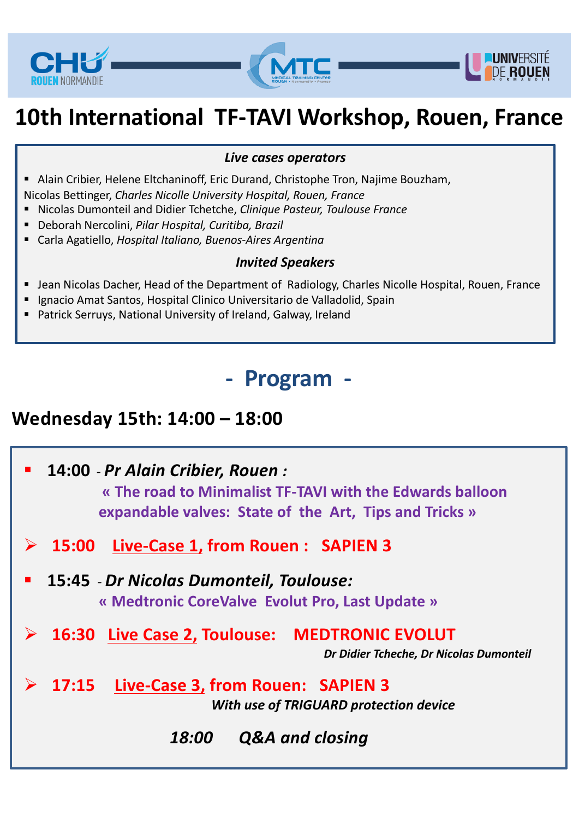





# **10th International TF-TAVI Workshop, Rouen, France**

#### *Live cases operators*

- Alain Cribier, Helene Eltchaninoff, Eric Durand, Christophe Tron, Najime Bouzham,
- Nicolas Bettinger, *Charles Nicolle University Hospital, Rouen, France*
- Nicolas Dumonteil and Didier Tchetche, *Clinique Pasteur, Toulouse France*
- Deborah Nercolini, *Pilar Hospital, Curitiba, Brazil*
- § Carla Agatiello, *Hospital Italiano, Buenos-Aires Argentina*

#### *Invited Speakers*

- Jean Nicolas Dacher, Head of the Department of Radiology, Charles Nicolle Hospital, Rouen, France
- Jean Nicolas Dacher, Head of the Department of Radiology, Charles Ni<br>■ Ignacio Amat Santos, Hospital Clinico Universitario de Valladolid, Spain
- Patrick Serruys, National University of Ireland, Galway, Ireland

## **- Program -**

### **Wednesday 15th: 14:00 – 18:00**

§ **14:00** - *Pr Alain Cribier, Rouen :*  **« The road to Minimalist TF-TAVI with the Edwards balloon expandable valves: State of the Art, Tips and Tricks »** Ø **15:00 Live-Case 1, from Rouen : SAPIEN 3** § **15:45** - *Dr Nicolas Dumonteil, Toulouse:*  **« Medtronic CoreValve Evolut Pro, Last Update »** Ø **16:30 Live Case 2, Toulouse: MEDTRONIC EVOLUT** *Dr Didier Tcheche, Dr Nicolas Dumonteil* Ø **17:15 Live-Case 3, from Rouen: SAPIEN 3**  *With use of TRIGUARD protection device 18:00 Q&A and closing*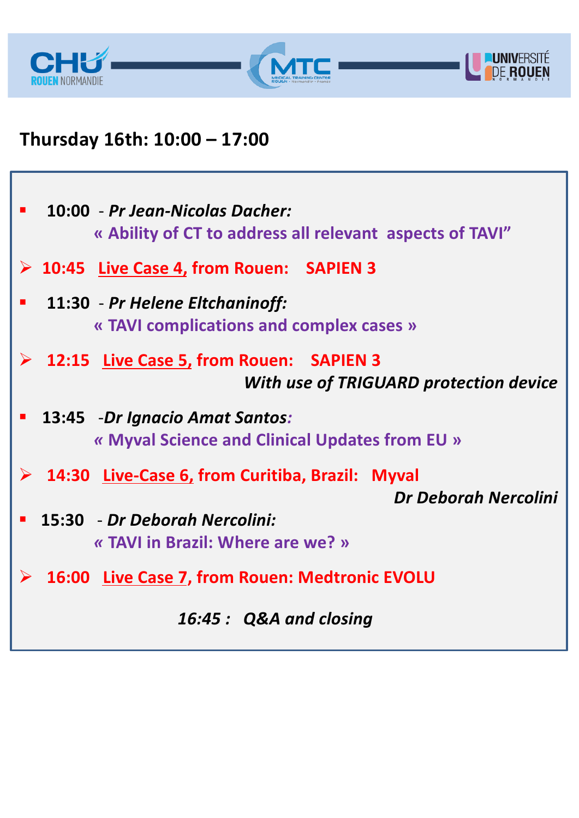



## **Thursday 16th: 10:00 – 17:00**

| $\blacksquare$ | 10:00 - Pr Jean-Nicolas Dacher:<br>« Ability of CT to address all relevant aspects of TAVI"        |
|----------------|----------------------------------------------------------------------------------------------------|
|                | $\triangleright$ 10:45 Live Case 4, from Rouen: SAPIEN 3                                           |
| $\blacksquare$ | 11:30 - Pr Helene Eltchaninoff:<br>« TAVI complications and complex cases »                        |
|                | $\triangleright$ 12:15 Live Case 5, from Rouen: SAPIEN 3<br>With use of TRIGUARD protection device |
| $\blacksquare$ | 13:45 -Dr Ignacio Amat Santos:<br>« Myval Science and Clinical Updates from EU »                   |
|                | $\triangleright$ 14:30 Live-Case 6, from Curitiba, Brazil: Myval                                   |
|                | Dr Deborah Nercolini                                                                               |
| $\blacksquare$ | 15:30 - Dr Deborah Nercolini:                                                                      |
|                | « TAVI in Brazil: Where are we? »                                                                  |
|                | <b>▶ 16:00 Live Case 7, from Rouen: Medtronic EVOLU</b>                                            |
|                | 16:45: Q&A and closing                                                                             |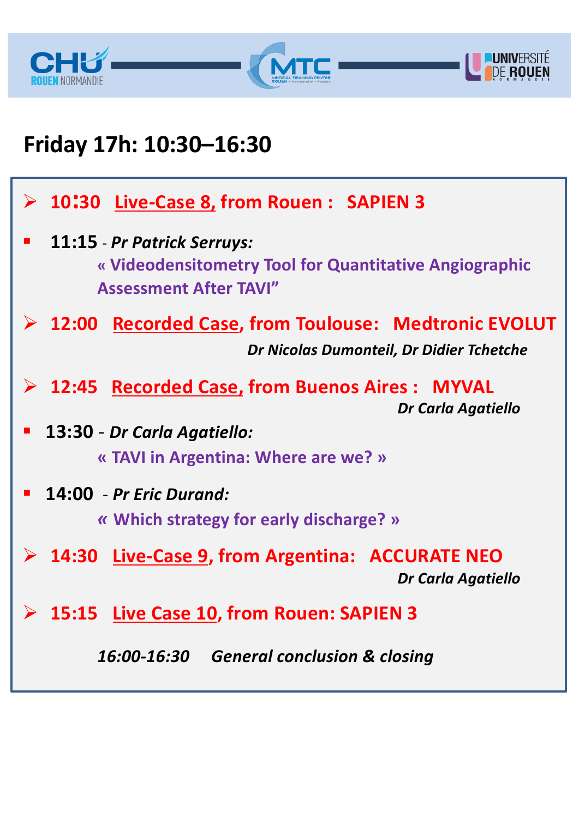



# **Friday 17h: 10:30–16:30**

|                | $\triangleright$ 10:30 Live-Case 8, from Rouen : SAPIEN 3                                                              |
|----------------|------------------------------------------------------------------------------------------------------------------------|
| $\blacksquare$ | 11:15 - Pr Patrick Serruys:<br>« Videodensitometry Tool for Quantitative Angiographic<br><b>Assessment After TAVI"</b> |
|                | <b>▶ 12:00 Recorded Case, from Toulouse: Medtronic EVOLUT</b><br>Dr Nicolas Dumonteil, Dr Didier Tchetche              |
|                | $\triangleright$ 12:45 Recorded Case, from Buenos Aires : MYVAL<br><b>Dr Carla Agatiello</b>                           |
|                | 13:30 - Dr Carla Agatiello:                                                                                            |
|                | « TAVI in Argentina: Where are we? »                                                                                   |
| $\mathbb{R}^n$ | 14:00 - Pr Eric Durand:                                                                                                |
|                | « Which strategy for early discharge? »                                                                                |
|                | $\triangleright$ 14:30 Live-Case 9, from Argentina: ACCURATE NEO<br>Dr Carla Agatiello                                 |
|                | $\triangleright$ 15:15 Live Case 10, from Rouen: SAPIEN 3                                                              |
|                | 16:00-16:30 General conclusion & closing                                                                               |